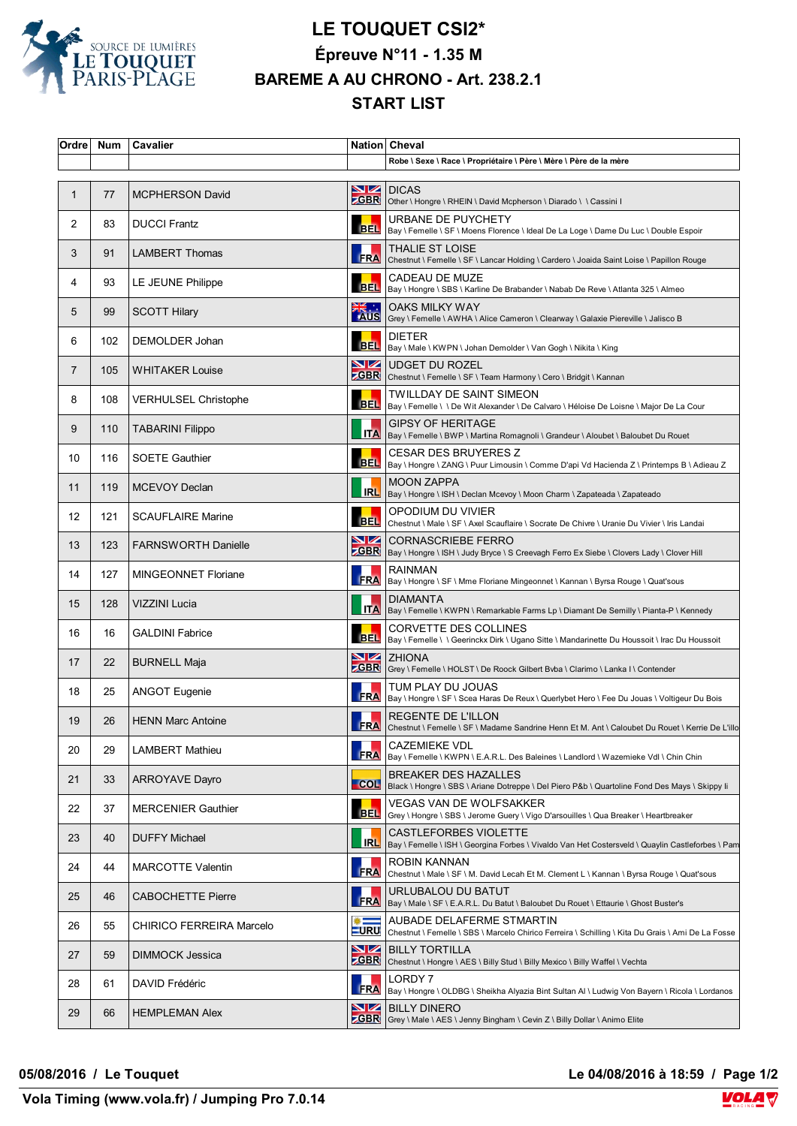

## **LE TOUQUET CSI2\* Épreuve N°11 - 1.35 M BAREME A AU CHRONO - Art. 238.2.1 START LIST**

| Ordre <sup> </sup> | <b>Num</b> | Cavalier                    |                              | Nation Cheval                                                                                                                       |
|--------------------|------------|-----------------------------|------------------------------|-------------------------------------------------------------------------------------------------------------------------------------|
|                    |            |                             |                              | Robe \ Sexe \ Race \ Propriétaire \ Père \ Mère \ Père de la mère                                                                   |
| 1                  | 77         | <b>MCPHERSON David</b>      |                              | <b>NZ DICAS</b><br><b>CBR</b> Other \ Hongre \ RHEIN \ David Mcpherson \ Diarado \ \ Cassini I                                      |
| 2                  | 83         | <b>DUCCI Frantz</b>         |                              | URBANE DE PUYCHETY<br>BEL  Bay \ Femelle \ SF \ Moens Florence \ Ideal De La Loge \ Dame Du Luc \ Double Espoir                     |
| 3                  | 91         | <b>LAMBERT Thomas</b>       | <b>FRA</b>                   | THALIE ST LOISE<br>Chestnut \ Femelle \ SF \ Lancar Holding \ Cardero \ Joaida Saint Loise \ Papillon Rouge                         |
| 4                  | 93         | LE JEUNE Philippe           |                              | CADEAU DE MUZE<br>BEL   Bay \ Hongre \ SBS \ Karline De Brabander \ Nabab De Reve \ Atlanta 325 \ Almeo                             |
| 5                  | 99         | <b>SCOTT Hilary</b>         | <b>EXAMPLE</b>               | <b>OAKS MILKY WAY</b><br>Grey \ Femelle \ AWHA \ Alice Cameron \ Clearway \ Galaxie Piereville \ Jalisco B                          |
| 6                  | 102        | DEMOLDER Johan              |                              | <b>DIETER</b><br>BEL   Bay \ Male \ KWPN \ Johan Demolder \ Van Gogh \ Nikita \ King                                                |
| 7                  | 105        | WHITAKER Louise             | VZ                           | <b>UDGET DU ROZEL</b><br><b>CBR</b> Chestnut \ Femelle \ SF \ Team Harmony \ Cero \ Bridgit \ Kannan                                |
| 8                  | 108        | <b>VERHULSEL Christophe</b> | <b>BEL</b>                   | TWILLDAY DE SAINT SIMEON<br>Bay \ Femelle \ \ De Wit Alexander \ De Calvaro \ Héloise De Loisne \ Major De La Cour                  |
| 9                  | 110        | <b>TABARINI Filippo</b>     |                              | <b>GIPSY OF HERITAGE</b><br>Bay \ Femelle \ BWP \ Martina Romagnoli \ Grandeur \ Aloubet \ Baloubet Du Rouet                        |
| 10                 | 116        | <b>SOETE Gauthier</b>       |                              | <b>CESAR DES BRUYERES Z</b><br>BEL Bay \ Hongre \ ZANG \ Puur Limousin \ Comme D'api Vd Hacienda Z \ Printemps B \ Adieau Z         |
| 11                 | 119        | <b>MCEVOY Declan</b>        |                              | <b>MOON ZAPPA</b><br>IRL   Bay \ Hongre \ ISH \ Declan Mcevoy \ Moon Charm \ Zapateada \ Zapateado                                  |
| $12 \overline{ }$  | 121        | <b>SCAUFLAIRE Marine</b>    | <b>BEL</b>                   | OPODIUM DU VIVIER<br>Chestnut \ Male \ SF \ Axel Scauflaire \ Socrate De Chivre \ Uranie Du Vivier \ Iris Landai                    |
| 13                 | 123        | <b>FARNSWORTH Danielle</b>  | VZ                           | <b>CORNASCRIEBE FERRO</b><br><b>ZGBR</b>   Bay \ Hongre \ ISH \ Judy Bryce \ S Creevagh Ferro Ex Siebe \ Clovers Lady \ Clover Hill |
| 14                 | 127        | MINGEONNET Floriane         |                              | <b>RAINMAN</b><br>FRA   Bay \ Hongre \ SF \ Mme Floriane Mingeonnet \ Kannan \ Byrsa Rouge \ Quat'sous                              |
| 15                 | 128        | <b>VIZZINI Lucia</b>        |                              | <b>DIAMANTA</b><br><b>ITA</b>   Bay \ Femelle \ KWPN \ Remarkable Farms Lp \ Diamant De Semilly \ Pianta-P \ Kennedy                |
| 16                 | 16         | <b>GALDINI Fabrice</b>      |                              | <b>CORVETTE DES COLLINES</b><br>BEL   Bay \ Femelle \ \ Geerinckx Dirk \ Ugano Sitte \ Mandarinette Du Houssoit \ Irac Du Houssoit  |
| 17                 | 22         | <b>BURNELL Maja</b>         |                              | $\sum$ ZHIONA<br><b>ZGBR</b> Grey \ Femelle \ HOLST \ De Roock Gilbert Bvba \ Clarimo \ Lanka I \ Contender                         |
| 18                 | 25         | ANGOT Eugenie               |                              | TUM PLAY DU JOUAS<br>FRA  Bay \ Hongre \ SF \ Scea Haras De Reux \ Querlybet Hero \ Fee Du Jouas \ Voltigeur Du Bois                |
| 19                 | 26         | <b>HENN Marc Antoine</b>    |                              | REGENTE DE L'ILLON<br>FRA Chestnut \ Femelle \ SF \ Madame Sandrine Henn Et M. Ant \ Caloubet Du Rouet \ Kerrie De L'illo           |
| 20                 | 29         | <b>LAMBERT Mathieu</b>      | <b>FRA</b>                   | <b>CAZEMIEKE VDL</b><br>Bay \ Femelle \ KWPN \ E.A.R.L. Des Baleines \ Landlord \ Wazemieke Vdl \ Chin Chin                         |
| 21                 | 33         | <b>ARROYAVE Dayro</b>       |                              | <b>BREAKER DES HAZALLES</b><br>COL Black \ Hongre \ SBS \ Ariane Dotreppe \ Del Piero P&b \ Quartoline Fond Des Mays \ Skippy li    |
| 22                 | 37         | <b>MERCENIER Gauthier</b>   | <b>BEL</b>                   | VEGAS VAN DE WOLFSAKKER<br>Grey \ Hongre \ SBS \ Jerome Guery \ Vigo D'arsouilles \ Qua Breaker \ Heartbreaker                      |
| 23                 | 40         | <b>DUFFY Michael</b>        | IRL                          | CASTLEFORBES VIOLETTE<br> Bay \ Femelle \ ISH \ Georgina Forbes \ Vivaldo Van Het Costersveld \ Quaylin Castleforbes \ Pam          |
| 24                 | 44         | <b>MARCOTTE Valentin</b>    | <b>FRA</b>                   | ROBIN KANNAN<br> Chestnut \ Male \ SF \ M. David Lecah Et M. Clement L \ Kannan \ Byrsa Rouge \ Quat'sous                           |
| 25                 | 46         | <b>CABOCHETTE Pierre</b>    | <b>FRA</b>                   | URLUBALOU DU BATUT<br>Bay \ Male \ SF \ E.A.R.L. Du Batut \ Baloubet Du Rouet \ Ettaurie \ Ghost Buster's                           |
| 26                 | 55         | CHIRICO FERREIRA Marcelo    | $\frac{1}{2}$<br><b>LURU</b> | AUBADE DELAFERME STMARTIN<br>Chestnut \ Femelle \ SBS \ Marcelo Chirico Ferreira \ Schilling \ Kita Du Grais \ Ami De La Fosse      |
| 27                 | 59         | DIMMOCK Jessica             | <u>NZ</u>                    | <b>BILLY TORTILLA</b><br><b>CBR</b> Chestnut \ Hongre \ AES \ Billy Stud \ Billy Mexico \ Billy Waffel \ Vechta                     |
| 28                 | 61         | DAVID Frédéric              | <b>FRA</b>                   | LORDY 7<br>Bay \ Hongre \ OLDBG \ Sheikha Alyazia Bint Sultan Al \ Ludwig Von Bayern \ Ricola \ Lordanos                            |
| 29                 | 66         | <b>HEMPLEMAN Alex</b>       | <b>ZGBR</b>                  | <b>NZ</b> BILLY DINERO<br> Grey \ Male \ AES \ Jenny Bingham \ Cevin Z \ Billy Dollar \ Animo Elite                                 |

**05/08/2016 / Le Touquet Le 04/08/2016 à 18:59 / Page 1/2**